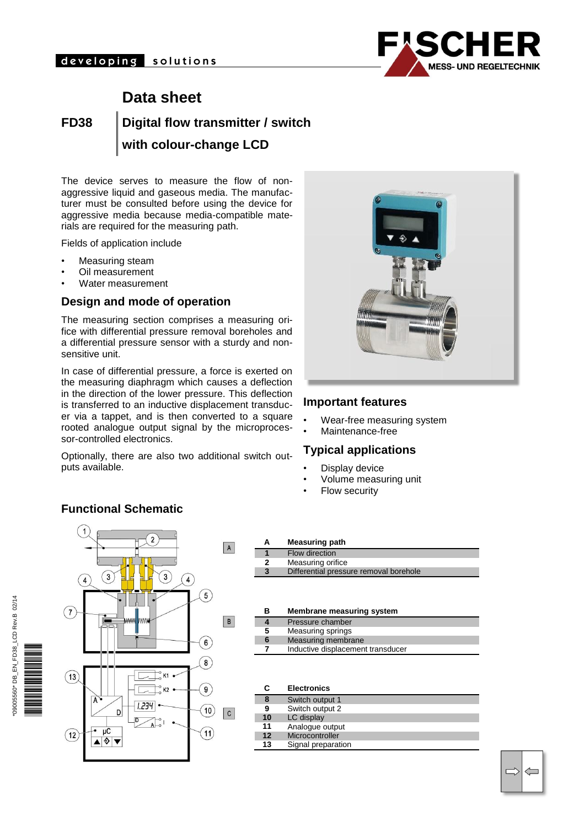

# **Data sheet**

**FD38 Digital flow transmitter / switch with colour-change LCD**

The device serves to measure the flow of nonaggressive liquid and gaseous media. The manufacturer must be consulted before using the device for aggressive media because media-compatible materials are required for the measuring path.

Fields of application include

- Measuring steam
- Oil measurement
- Water measurement

#### **Design and mode of operation**

The measuring section comprises a measuring orifice with differential pressure removal boreholes and a differential pressure sensor with a sturdy and nonsensitive unit.

In case of differential pressure, a force is exerted on the measuring diaphragm which causes a deflection in the direction of the lower pressure. This deflection is transferred to an inductive displacement transducer via a tappet, and is then converted to a square rooted analogue output signal by the microprocessor-controlled electronics.

Optionally, there are also two additional switch outputs available.



#### **Important features**

- Wear-free measuring system
- Maintenance-free

#### **Typical applications**

- Display device
- Volume measuring unit
- Flow security

## **Functional Schematic**



| А | <b>Measuring path</b>                  |
|---|----------------------------------------|
|   | Flow direction                         |
| 2 | Measuring orifice                      |
|   | Differential pressure removal borehole |

| в | Membrane measuring system         |
|---|-----------------------------------|
|   | Pressure chamber                  |
| 5 | Measuring springs                 |
| 6 | Measuring membrane                |
|   | Inductive displacement transducer |

| C  | <b>Electronics</b> |
|----|--------------------|
| 8  | Switch output 1    |
| 9  | Switch output 2    |
| 10 | LC display         |
| 11 | Analogue output    |
| 12 | Microcontroller    |
| 13 | Signal preparation |

 $\Longleftarrow$ 

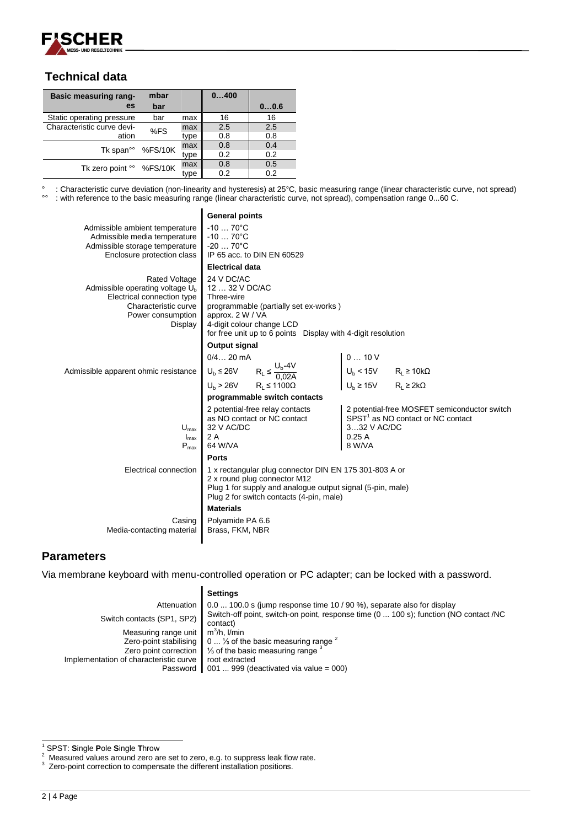

### **Technical data**

| <b>Basic measuring rang-</b>  | mbar |      | 0400 |      |
|-------------------------------|------|------|------|------|
| es                            | bar  |      |      | 00.6 |
| Static operating pressure     | bar  | max  | 16   | 16   |
| Characteristic curve devi-    | %FS  | max  | 2.5  | 2.5  |
| ation                         |      | type | 0.8  | 0.8  |
|                               |      | max  | 0.8  | 0.4  |
| Tk span <sup>oo</sup> %FS/10K |      | type | 0.2  | 0.2  |
| Tk zero point °° %FS/10K      |      | max  | 0.8  | 0.5  |
|                               |      | tvpe | 0.2  | 0.2  |

° : Characteristic curve deviation (non-linearity and hysteresis) at 25°C, basic measuring range (linear characteristic curve, not spread)<br><sup>9°</sup> : with reference to the basic measuring range (linear characteristic curve, no °° : with reference to the basic measuring range (linear characteristic curve, not spread), compensation range 0...60 C.

| Admissible ambient temperature<br>Admissible media temperature<br>Admissible storage temperature<br>Enclosure protection class           | <b>General points</b><br>$-1070^{\circ}$ C<br>$-1070^{\circ}C$<br>$-2070^{\circ}$ C<br>IP 65 acc. to DIN EN 60529<br><b>Electrical data</b>                                                                                                   |                                                                                                                                                                                                            |  |  |  |  |  |  |  |
|------------------------------------------------------------------------------------------------------------------------------------------|-----------------------------------------------------------------------------------------------------------------------------------------------------------------------------------------------------------------------------------------------|------------------------------------------------------------------------------------------------------------------------------------------------------------------------------------------------------------|--|--|--|--|--|--|--|
| Rated Voltage<br>Admissible operating voltage $Ub$<br>Electrical connection type<br>Characteristic curve<br>Power consumption<br>Display | 24 V DC/AC<br>12  32 V DC/AC<br>Three-wire<br>programmable (partially set ex-works)<br>approx. 2 W / VA<br>4-digit colour change LCD<br>for free unit up to 6 points Display with 4-digit resolution                                          |                                                                                                                                                                                                            |  |  |  |  |  |  |  |
| Admissible apparent ohmic resistance                                                                                                     | Output signal<br>$0/4 20$ mA<br>$\begin{aligned} \mathsf{U_b} \leq 26\mathsf{V} \qquad & \mathsf{R_t} \leq \frac{\mathsf{U_b\text{-}4V}}{0.02\mathsf{A}} \\ \mathsf{U_b} &> 26\mathsf{V} \qquad & \mathsf{R_t} \leq 1100\Omega \end{aligned}$ | $\begin{cases} 0 \ldots 10 \text{ V} \\ U_b < 15 \text{ V} \\ U_b \ge 15 \text{ V} \end{cases} \quad \begin{array}{l} \mathsf{R_L} \ge 10 \text{k}\Omega \\ \mathsf{R_L} \ge 2 \text{k}\Omega \end{array}$ |  |  |  |  |  |  |  |
| $U_{\text{max}}$                                                                                                                         | programmable switch contacts<br>2 potential-free relay contacts<br>as NO contact or NC contact<br>32 V AC/DC                                                                                                                                  | 2 potential-free MOSFET semiconductor switch<br>SPST <sup>1</sup> as NO contact or NC contact<br>332 V AC/DC                                                                                               |  |  |  |  |  |  |  |
| $I_{\text{max}}$<br>$P_{max}$                                                                                                            | 2 A<br>64 W/VA<br><b>Ports</b>                                                                                                                                                                                                                | 0.25A<br>8 W/VA                                                                                                                                                                                            |  |  |  |  |  |  |  |
| Electrical connection                                                                                                                    | 1 x rectangular plug connector DIN EN 175 301-803 A or<br>2 x round plug connector M12<br>Plug 1 for supply and analogue output signal (5-pin, male)<br>Plug 2 for switch contacts (4-pin, male)                                              |                                                                                                                                                                                                            |  |  |  |  |  |  |  |
| Casing<br>Media-contacting material                                                                                                      | <b>Materials</b><br>Polyamide PA 6.6<br>Brass, FKM, NBR                                                                                                                                                                                       |                                                                                                                                                                                                            |  |  |  |  |  |  |  |

### **Parameters**

Via membrane keyboard with menu-controlled operation or PC adapter; can be locked with a password.

#### **Settings**

|                                                           | Attenuation $\parallel$ 0.0  100.0 s (jump response time 10 / 90 %), separate also for display    |
|-----------------------------------------------------------|---------------------------------------------------------------------------------------------------|
| Switch contacts (SP1, SP2)                                | Switch-off point, switch-on point, response time (0  100 s); function (NO contact /NC<br>contact) |
| Measuring range unit $\parallel$ m <sup>3</sup> /h, I/min |                                                                                                   |
|                                                           | Zero-point stabilising $\parallel$ 0  % of the basic measuring range $\sim$                       |
|                                                           | Zero point correction $\parallel$ % of the basic measuring range                                  |
| Implementation of characteristic curve   root extracted   |                                                                                                   |
|                                                           | Password $\parallel$ 001  999 (deactivated via value = 000)                                       |

l <sup>1</sup> SPST: **S**ingle **P**ole **S**ingle **T**hrow

<sup>2</sup> Measured values around zero are set to zero, e.g. to suppress leak flow rate.

<sup>&</sup>lt;sup>3</sup> Zero-point correction to compensate the different installation positions.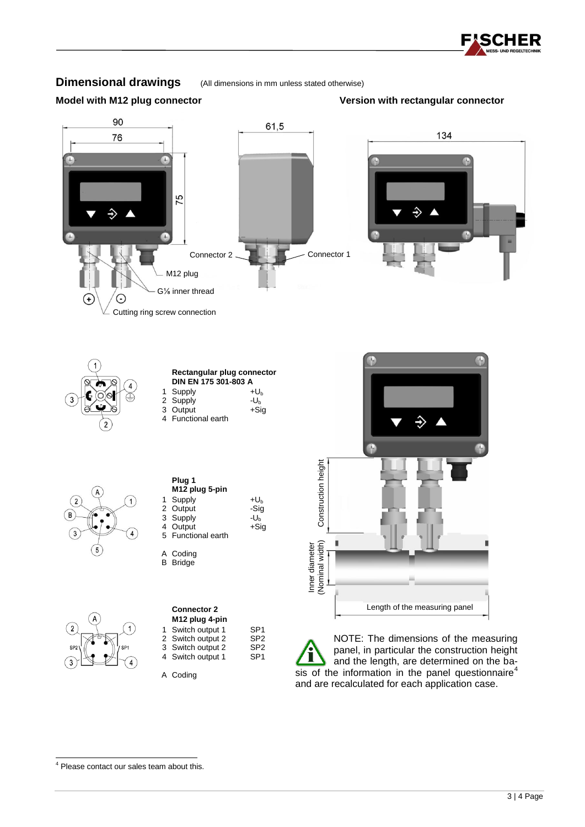

### **Dimensional drawings** (All dimensions in mm unless stated otherwise)

#### **Model with M12 plug connector Version with rectangular connector**







l

|   | Plug 1<br>M12 plug 5-pin |                 |
|---|--------------------------|-----------------|
| 1 | Supply                   | +Uհ             |
|   | 2 Output                 | -Sig            |
|   | 3 Supply                 | -U <sub>h</sub> |
|   | 4 Output                 | $+Sig$          |
|   | 5 Functional earth       |                 |

| A | Coding          |
|---|-----------------|
|   |                 |
|   | <b>B</b> Bridge |

|   | <b>Connector 2</b>         |                 |
|---|----------------------------|-----------------|
|   | M <sub>12</sub> plug 4-pin |                 |
| 1 | Switch output 1            | SP <sub>1</sub> |
|   | 2 Switch output 2          | SP <sub>2</sub> |
|   | 3 Switch output 2          | SP <sub>2</sub> |
|   | 4 Switch output 1          | SP <sub>1</sub> |

A Coding



NOTE: The dimensions of the measuring panel, in particular the construction height and the length, are determined on the basis of the information in the panel questionnaire<sup>4</sup> and are recalculated for each application case.

<sup>&</sup>lt;sup>4</sup> Please contact our sales team about this.